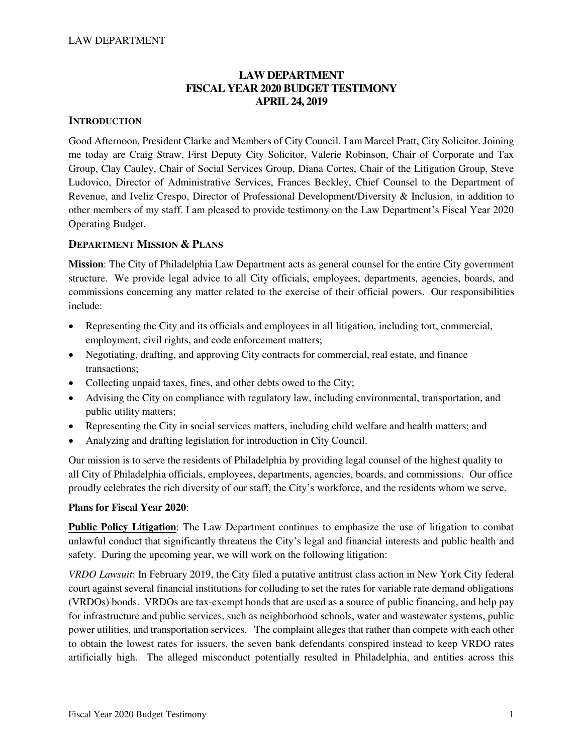## **LAW DEPARTMENT FISCAL YEAR 2020 BUDGET TESTIMONY APRIL 24, 2019**

## **INTRODUCTION**

Good Afternoon, President Clarke and Members of City Council. I am Marcel Pratt, City Solicitor. Joining me today are Craig Straw, First Deputy City Solicitor, Valerie Robinson, Chair of Corporate and Tax Group, Clay Cauley, Chair of Social Services Group, Diana Cortes, Chair of the Litigation Group, Steve Ludovico, Director of Administrative Services, Frances Beckley, Chief Counsel to the Department of Revenue, and Iveliz Crespo, Director of Professional Development/Diversity & Inclusion, in addition to other members of my staff. I am pleased to provide testimony on the Law Department's Fiscal Year 2020 Operating Budget.

## **DEPARTMENT MISSION & PLANS**

**Mission**: The City of Philadelphia Law Department acts as general counsel for the entire City government structure. We provide legal advice to all City officials, employees, departments, agencies, boards, and commissions concerning any matter related to the exercise of their official powers. Our responsibilities include:

- Representing the City and its officials and employees in all litigation, including tort, commercial, employment, civil rights, and code enforcement matters;
- Negotiating, drafting, and approving City contracts for commercial, real estate, and finance transactions;
- Collecting unpaid taxes, fines, and other debts owed to the City;
- Advising the City on compliance with regulatory law, including environmental, transportation, and public utility matters;
- Representing the City in social services matters, including child welfare and health matters; and
- Analyzing and drafting legislation for introduction in City Council.

Our mission is to serve the residents of Philadelphia by providing legal counsel of the highest quality to all City of Philadelphia officials, employees, departments, agencies, boards, and commissions. Our office proudly celebrates the rich diversity of our staff, the City's workforce, and the residents whom we serve.

### **Plans for Fiscal Year 2020**:

**Public Policy Litigation**: The Law Department continues to emphasize the use of litigation to combat unlawful conduct that significantly threatens the City's legal and financial interests and public health and safety. During the upcoming year, we will work on the following litigation:

*VRDO Lawsuit*: In February 2019, the City filed a putative antitrust class action in New York City federal court against several financial institutions for colluding to set the rates for variable rate demand obligations (VRDOs) bonds. VRDOs are tax-exempt bonds that are used as a source of public financing, and help pay for infrastructure and public services, such as neighborhood schools, water and wastewater systems, public power utilities, and transportation services. The complaint alleges that rather than compete with each other to obtain the lowest rates for issuers, the seven bank defendants conspired instead to keep VRDO rates artificially high. The alleged misconduct potentially resulted in Philadelphia, and entities across this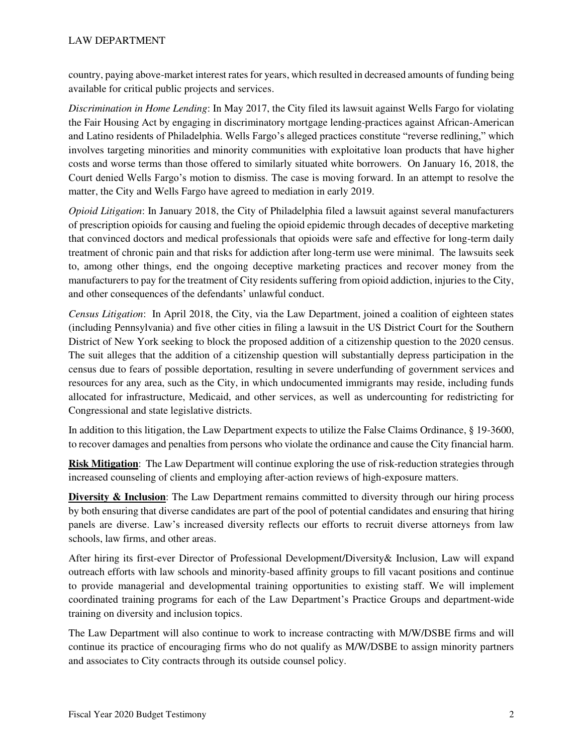country, paying above-market interest rates for years, which resulted in decreased amounts of funding being available for critical public projects and services.

*Discrimination in Home Lending*: In May 2017, the City filed its lawsuit against Wells Fargo for violating the Fair Housing Act by engaging in discriminatory mortgage lending-practices against African-American and Latino residents of Philadelphia. Wells Fargo's alleged practices constitute "reverse redlining," which involves targeting minorities and minority communities with exploitative loan products that have higher costs and worse terms than those offered to similarly situated white borrowers. On January 16, 2018, the Court denied Wells Fargo's motion to dismiss. The case is moving forward. In an attempt to resolve the matter, the City and Wells Fargo have agreed to mediation in early 2019.

*Opioid Litigation*: In January 2018, the City of Philadelphia filed a lawsuit against several manufacturers of prescription opioids for causing and fueling the opioid epidemic through decades of deceptive marketing that convinced doctors and medical professionals that opioids were safe and effective for long-term daily treatment of chronic pain and that risks for addiction after long-term use were minimal. The lawsuits seek to, among other things, end the ongoing deceptive marketing practices and recover money from the manufacturers to pay for the treatment of City residents suffering from opioid addiction, injuries to the City, and other consequences of the defendants' unlawful conduct.

*Census Litigation*: In April 2018, the City, via the Law Department, joined a coalition of eighteen states (including Pennsylvania) and five other cities in filing a lawsuit in the US District Court for the Southern District of New York seeking to block the proposed addition of a citizenship question to the 2020 census. The suit alleges that the addition of a citizenship question will substantially depress participation in the census due to fears of possible deportation, resulting in severe underfunding of government services and resources for any area, such as the City, in which undocumented immigrants may reside, including funds allocated for infrastructure, Medicaid, and other services, as well as undercounting for redistricting for Congressional and state legislative districts.

In addition to this litigation, the Law Department expects to utilize the False Claims Ordinance, § 19-3600, to recover damages and penalties from persons who violate the ordinance and cause the City financial harm.

**Risk Mitigation**: The Law Department will continue exploring the use of risk-reduction strategies through increased counseling of clients and employing after-action reviews of high-exposure matters.

**Diversity & Inclusion**: The Law Department remains committed to diversity through our hiring process by both ensuring that diverse candidates are part of the pool of potential candidates and ensuring that hiring panels are diverse. Law's increased diversity reflects our efforts to recruit diverse attorneys from law schools, law firms, and other areas.

After hiring its first-ever Director of Professional Development/Diversity& Inclusion, Law will expand outreach efforts with law schools and minority-based affinity groups to fill vacant positions and continue to provide managerial and developmental training opportunities to existing staff. We will implement coordinated training programs for each of the Law Department's Practice Groups and department-wide training on diversity and inclusion topics.

The Law Department will also continue to work to increase contracting with M/W/DSBE firms and will continue its practice of encouraging firms who do not qualify as M/W/DSBE to assign minority partners and associates to City contracts through its outside counsel policy.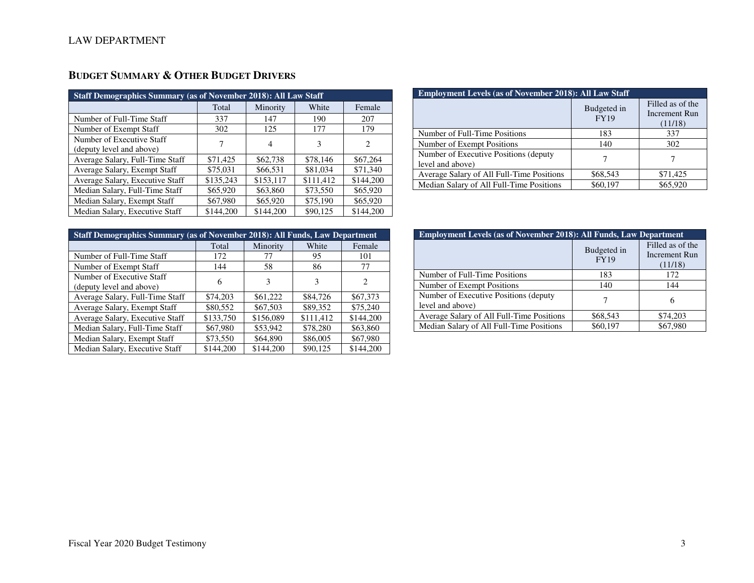| <b>Staff Demographics Summary (as of November 2018): All Law Staff</b> |           |           |           |                             |  |  |  |
|------------------------------------------------------------------------|-----------|-----------|-----------|-----------------------------|--|--|--|
|                                                                        | Total     | Minority  | White     | Female                      |  |  |  |
| Number of Full-Time Staff                                              | 337       | 147       | 190       | 207                         |  |  |  |
| Number of Exempt Staff                                                 | 302       | 125       | 177       | 179                         |  |  |  |
| Number of Executive Staff<br>(deputy level and above)                  | 7         | 4         | 3         | $\mathcal{D}_{\mathcal{L}}$ |  |  |  |
| Average Salary, Full-Time Staff                                        | \$71,425  | \$62,738  | \$78,146  | \$67,264                    |  |  |  |
| Average Salary, Exempt Staff                                           | \$75,031  | \$66,531  | \$81,034  | \$71,340                    |  |  |  |
| Average Salary, Executive Staff                                        | \$135,243 | \$153,117 | \$111,412 | \$144,200                   |  |  |  |
| Median Salary, Full-Time Staff                                         | \$65,920  | \$63,860  | \$73,550  | \$65,920                    |  |  |  |
| Median Salary, Exempt Staff                                            | \$67,980  | \$65,920  | \$75,190  | \$65,920                    |  |  |  |
| Median Salary, Executive Staff                                         | \$144,200 | \$144,200 | \$90,125  | \$144,200                   |  |  |  |

# **BUDGET SUMMARY & OTHER BUDGET DRIVERS**

| <b>Employment Levels (as of November 2018): All Law Staff</b> |                            |                                              |  |  |  |  |
|---------------------------------------------------------------|----------------------------|----------------------------------------------|--|--|--|--|
|                                                               | Budgeted in<br><b>FY19</b> | Filled as of the<br>Increment Run<br>(11/18) |  |  |  |  |
| Number of Full-Time Positions                                 | 183                        | 337                                          |  |  |  |  |
| Number of Exempt Positions                                    | 140                        | 302                                          |  |  |  |  |
| Number of Executive Positions (deputy)<br>level and above)    |                            |                                              |  |  |  |  |
| Average Salary of All Full-Time Positions                     | \$68,543                   | \$71,425                                     |  |  |  |  |
| Median Salary of All Full-Time Positions                      | \$60,197                   | \$65,920                                     |  |  |  |  |

| <b>Staff Demographics Summary (as of November 2018): All Funds, Law Department</b> |           |           |           |                |  |  |  |
|------------------------------------------------------------------------------------|-----------|-----------|-----------|----------------|--|--|--|
|                                                                                    | Total     | Minority  | White     | Female         |  |  |  |
| Number of Full-Time Staff                                                          | 172       | 77        | 95        | 101            |  |  |  |
| Number of Exempt Staff                                                             | 144       | 58        | 86        | 77             |  |  |  |
| Number of Executive Staff                                                          | 6         | 3         | 3         | $\mathfrak{D}$ |  |  |  |
| (deputy level and above)                                                           |           |           |           |                |  |  |  |
| Average Salary, Full-Time Staff                                                    | \$74,203  | \$61,222  | \$84,726  | \$67,373       |  |  |  |
| Average Salary, Exempt Staff                                                       | \$80,552  | \$67,503  | \$89,352  | \$75,240       |  |  |  |
| Average Salary, Executive Staff                                                    | \$133,750 | \$156,089 | \$111,412 | \$144,200      |  |  |  |
| Median Salary, Full-Time Staff                                                     | \$67,980  | \$53,942  | \$78,280  | \$63,860       |  |  |  |
| Median Salary, Exempt Staff                                                        | \$73,550  | \$64,890  | \$86,005  | \$67,980       |  |  |  |
| Median Salary, Executive Staff                                                     | \$144,200 | \$144,200 | \$90,125  | \$144,200      |  |  |  |

| <b>Employment Levels (as of November 2018): All Funds, Law Department</b> |                            |                                              |  |  |  |  |
|---------------------------------------------------------------------------|----------------------------|----------------------------------------------|--|--|--|--|
|                                                                           | Budgeted in<br><b>FY19</b> | Filled as of the<br>Increment Run<br>(11/18) |  |  |  |  |
| Number of Full-Time Positions                                             | 183                        | 172                                          |  |  |  |  |
| Number of Exempt Positions                                                | 140                        | 144                                          |  |  |  |  |
| Number of Executive Positions (deputy<br>level and above)                 |                            | 6                                            |  |  |  |  |
| Average Salary of All Full-Time Positions                                 | \$68,543                   | \$74,203                                     |  |  |  |  |
| Median Salary of All Full-Time Positions                                  | \$60,197                   | \$67,980                                     |  |  |  |  |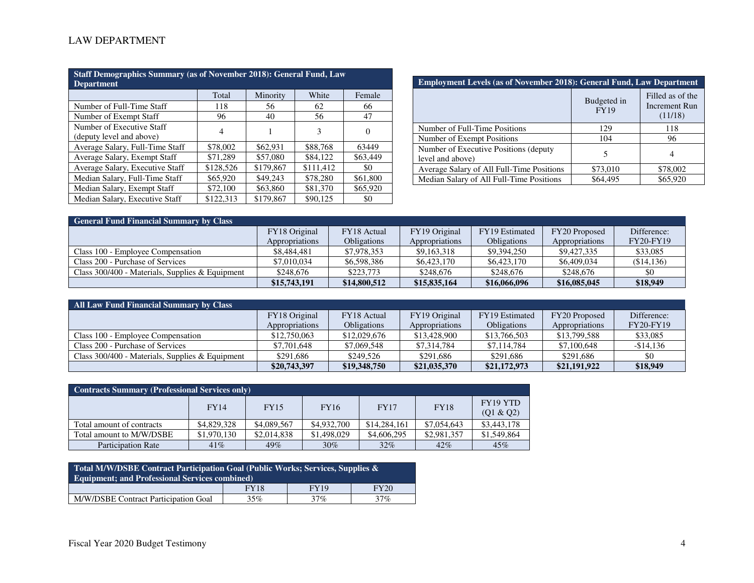| Staff Demographics Summary (as of November 2018): General Fund, Law<br>Department |           |           |           |                  |  |  |  |
|-----------------------------------------------------------------------------------|-----------|-----------|-----------|------------------|--|--|--|
|                                                                                   | Total     | Minority  | White     | Female           |  |  |  |
| Number of Full-Time Staff                                                         | 118       | 56        | 62        | 66               |  |  |  |
| Number of Exempt Staff                                                            | 96        | 40        | 56        | 47               |  |  |  |
| Number of Executive Staff<br>(deputy level and above)                             | 4         |           | 3         | $\left( \right)$ |  |  |  |
| Average Salary, Full-Time Staff                                                   | \$78,002  | \$62,931  | \$88,768  | 63449            |  |  |  |
| Average Salary, Exempt Staff                                                      | \$71,289  | \$57,080  | \$84,122  | \$63,449         |  |  |  |
| Average Salary, Executive Staff                                                   | \$128,526 | \$179,867 | \$111.412 | \$0              |  |  |  |
| Median Salary, Full-Time Staff                                                    | \$65,920  | \$49,243  | \$78,280  | \$61,800         |  |  |  |
| Median Salary, Exempt Staff                                                       | \$72,100  | \$63,860  | \$81,370  | \$65,920         |  |  |  |
| Median Salary, Executive Staff                                                    | \$122,313 | \$179,867 | \$90,125  | \$0              |  |  |  |

| <b>Employment Levels (as of November 2018): General Fund, Law Department</b> |                            |                                              |  |  |  |  |
|------------------------------------------------------------------------------|----------------------------|----------------------------------------------|--|--|--|--|
|                                                                              | Budgeted in<br><b>FY19</b> | Filled as of the<br>Increment Run<br>(11/18) |  |  |  |  |
| Number of Full-Time Positions                                                | 129                        | 118                                          |  |  |  |  |
| Number of Exempt Positions                                                   | 104                        | 96                                           |  |  |  |  |
| Number of Executive Positions (deputy)<br>level and above)                   | 5                          |                                              |  |  |  |  |
| Average Salary of All Full-Time Positions                                    | \$73,010                   | \$78,002                                     |  |  |  |  |
| Median Salary of All Full-Time Positions                                     | \$64,495                   | \$65,920                                     |  |  |  |  |

| <b>General Fund Financial Summary by Class</b>    |                |                    |                |                    |                |                  |  |  |
|---------------------------------------------------|----------------|--------------------|----------------|--------------------|----------------|------------------|--|--|
|                                                   | FY18 Original  | FY18 Actual        | FY19 Original  | FY19 Estimated     | FY20 Proposed  | Difference:      |  |  |
|                                                   | Appropriations | <b>Obligations</b> | Appropriations | <b>Obligations</b> | Appropriations | <b>FY20-FY19</b> |  |  |
| Class 100 - Employee Compensation                 | \$8,484,481    | \$7,978,353        | \$9,163,318    | \$9,394,250        | \$9,427,335    | \$33,085         |  |  |
| Class 200 - Purchase of Services                  | \$7,010,034    | \$6,598,386        | \$6,423,170    | \$6,423,170        | \$6,409,034    | (\$14,136)       |  |  |
| Class $300/400$ - Materials, Supplies & Equipment | \$248,676      | \$223,773          | \$248,676      | \$248,676          | \$248,676      | -\$0             |  |  |
|                                                   | \$15,743,191   | \$14,800,512       | \$15,835,164   | \$16,066,096       | \$16,085,045   | \$18,949         |  |  |

| <b>All Law Fund Financial Summary by Class</b>    |                |              |                |                    |                |                  |  |  |
|---------------------------------------------------|----------------|--------------|----------------|--------------------|----------------|------------------|--|--|
|                                                   | FY18 Original  | FY18 Actual  | FY19 Original  | FY19 Estimated     | FY20 Proposed  | Difference:      |  |  |
|                                                   | Appropriations | Obligations  | Appropriations | <b>Obligations</b> | Appropriations | <b>FY20-FY19</b> |  |  |
| Class 100 - Employee Compensation                 | \$12,750,063   | \$12,029,676 | \$13,428,900   | \$13,766,503       | \$13,799,588   | \$33,085         |  |  |
| Class 200 - Purchase of Services                  | \$7,701,648    | \$7,069,548  | \$7,314,784    | \$7,114,784        | \$7,100,648    | $-$14,136$       |  |  |
| Class $300/400$ - Materials, Supplies & Equipment | \$291,686      | \$249.526    | \$291.686      | \$291,686          | \$291,686      | \$0              |  |  |
|                                                   | \$20,743,397   | \$19,348,750 | \$21,035,370   | \$21,172,973       | \$21,191,922   | \$18,949         |  |  |

| <b>Contracts Summary (Professional Services only)</b> |             |             |             |              |             |                       |  |  |
|-------------------------------------------------------|-------------|-------------|-------------|--------------|-------------|-----------------------|--|--|
|                                                       | <b>FY14</b> | <b>FY15</b> | <b>FY16</b> | <b>FY17</b>  | <b>FY18</b> | FY19 YTD<br>(Q1 & Q2) |  |  |
| Total amount of contracts                             | \$4,829,328 | \$4,089,567 | \$4,932,700 | \$14,284,161 | \$7,054,643 | \$3,443,178           |  |  |
| Total amount to M/W/DSBE                              | \$1,970,130 | \$2,014,838 | \$1,498,029 | \$4,606,295  | \$2,981,357 | \$1,549,864           |  |  |
| <b>Participation Rate</b>                             | $41\%$      | 49%         | 30%         | 32%          | 42%         | 45%                   |  |  |

| Total M/W/DSBE Contract Participation Goal (Public Works; Services, Supplies $\&$<br><b>Equipment; and Professional Services combined)</b> |             |      |             |  |  |  |  |
|--------------------------------------------------------------------------------------------------------------------------------------------|-------------|------|-------------|--|--|--|--|
|                                                                                                                                            | <b>FY18</b> | FY19 | <b>FY20</b> |  |  |  |  |
| M/W/DSBE Contract Participation Goal                                                                                                       | 35%         | 37%  | 37%         |  |  |  |  |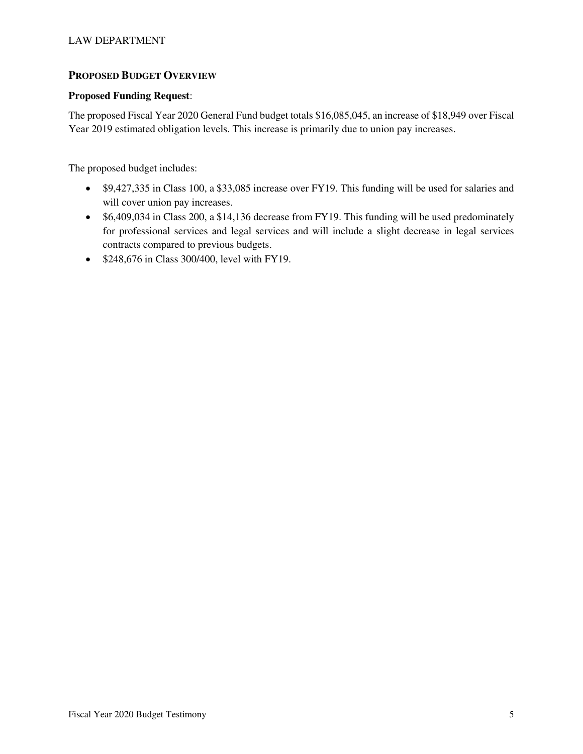## **PROPOSED BUDGET OVERVIEW**

## **Proposed Funding Request**:

The proposed Fiscal Year 2020 General Fund budget totals \$16,085,045, an increase of \$18,949 over Fiscal Year 2019 estimated obligation levels. This increase is primarily due to union pay increases.

The proposed budget includes:

- \$9,427,335 in Class 100, a \$33,085 increase over FY19. This funding will be used for salaries and will cover union pay increases.
- \$6,409,034 in Class 200, a \$14,136 decrease from FY19. This funding will be used predominately for professional services and legal services and will include a slight decrease in legal services contracts compared to previous budgets.
- \$248,676 in Class 300/400, level with FY19.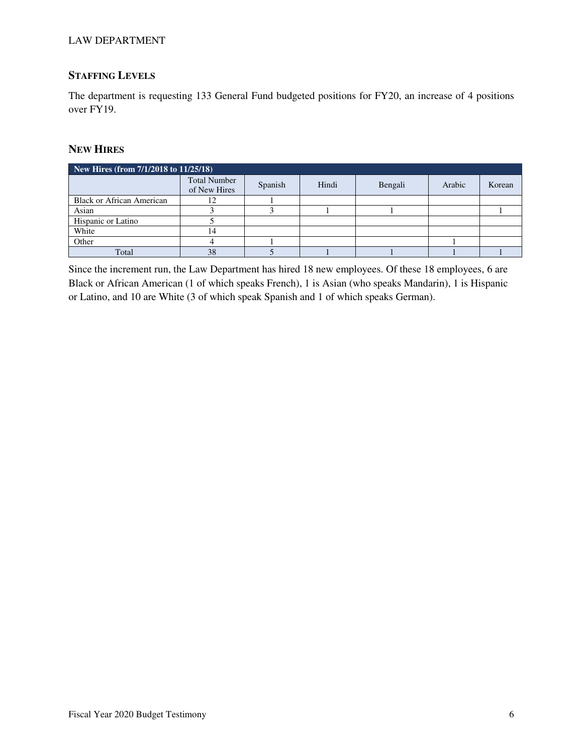## **STAFFING LEVELS**

The department is requesting 133 General Fund budgeted positions for FY20, an increase of 4 positions over FY19.

## **NEW HIRES**

| New Hires (from 7/1/2018 to 11/25/18) |                                     |         |       |         |        |        |  |  |
|---------------------------------------|-------------------------------------|---------|-------|---------|--------|--------|--|--|
|                                       | <b>Total Number</b><br>of New Hires | Spanish | Hindi | Bengali | Arabic | Korean |  |  |
| <b>Black or African American</b>      |                                     |         |       |         |        |        |  |  |
| Asian                                 |                                     |         |       |         |        |        |  |  |
| Hispanic or Latino                    |                                     |         |       |         |        |        |  |  |
| White                                 | 14                                  |         |       |         |        |        |  |  |
| Other                                 |                                     |         |       |         |        |        |  |  |
| Total                                 | 38                                  |         |       |         |        |        |  |  |

Since the increment run, the Law Department has hired 18 new employees. Of these 18 employees, 6 are Black or African American (1 of which speaks French), 1 is Asian (who speaks Mandarin), 1 is Hispanic or Latino, and 10 are White (3 of which speak Spanish and 1 of which speaks German).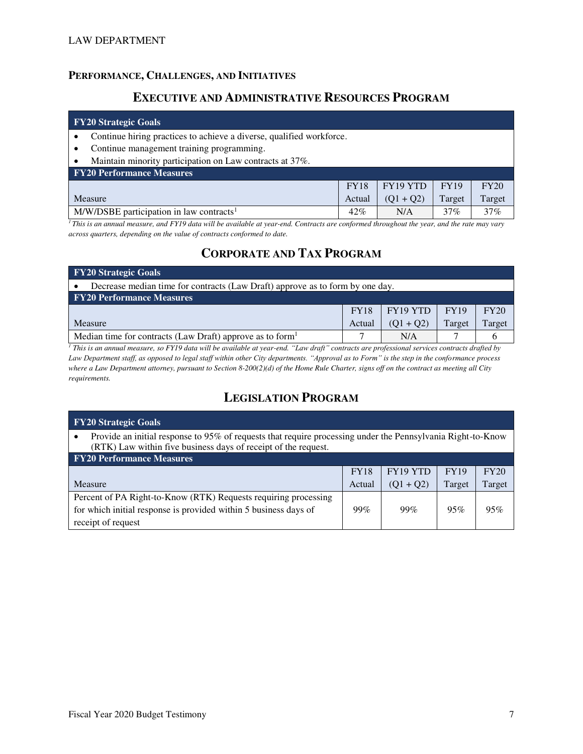## **PERFORMANCE, CHALLENGES, AND INITIATIVES**

## **EXECUTIVE AND ADMINISTRATIVE RESOURCES PROGRAM**

#### **FY20 Strategic Goals**

- Continue hiring practices to achieve a diverse, qualified workforce.
- Continue management training programming.
- Maintain minority participation on Law contracts at 37%.

| <b>FY20 Performance Measures</b>                       |             |                        |             |        |
|--------------------------------------------------------|-------------|------------------------|-------------|--------|
|                                                        | <b>FY18</b> | $\mid$ FY19 YTD $\mid$ | <b>FY19</b> | FY20   |
| Measure                                                | Actual      | $(01 + 02)$            | Target      | Target |
| $M/W/DSBE$ participation in law contracts <sup>1</sup> | $42\%$      | N/A                    | 37%         | 37%    |

<sup>1</sup>*This is an annual measure, and FY19 data will be available at year-end. Contracts are conformed throughout the year, and the rate may vary across quarters, depending on the value of contracts conformed to date.* 

# **CORPORATE AND TAX PROGRAM**

| <b>FY20 Strategic Goals</b>                                                   |             |          |             |      |  |  |  |
|-------------------------------------------------------------------------------|-------------|----------|-------------|------|--|--|--|
| Decrease median time for contracts (Law Draft) approve as to form by one day. |             |          |             |      |  |  |  |
| <b>FY20 Performance Measures</b>                                              |             |          |             |      |  |  |  |
|                                                                               | <b>FY18</b> | FY19 YTD | <b>FY19</b> | FY20 |  |  |  |
| $(01 + 02)$<br>Target<br>Target<br>Measure<br>Actual                          |             |          |             |      |  |  |  |
| Median time for contracts (Law Draft) approve as to form <sup>1</sup>         |             | N/A      |             |      |  |  |  |

<sup>1</sup> This is an annual measure, so FY19 data will be available at year-end. "Law draft" contracts are professional services contracts drafted by Law Department staff, as opposed to legal staff within other City departments. "Approval as to Form" is the step in the conformance process *where a Law Department attorney, pursuant to Section 8-200(2)(d) of the Home Rule Charter, signs off on the contract as meeting all City requirements.* 

# **LEGISLATION PROGRAM**

| <b>FY20 Strategic Goals</b>                                                                                                                                                   |             |             |             |        |  |  |  |
|-------------------------------------------------------------------------------------------------------------------------------------------------------------------------------|-------------|-------------|-------------|--------|--|--|--|
| Provide an initial response to 95% of requests that require processing under the Pennsylvania Right-to-Know<br>(RTK) Law within five business days of receipt of the request. |             |             |             |        |  |  |  |
| <b>FY20 Performance Measures</b>                                                                                                                                              |             |             |             |        |  |  |  |
|                                                                                                                                                                               | <b>FY18</b> | FY19 YTD    | <b>FY19</b> | FY20   |  |  |  |
| Measure                                                                                                                                                                       | Actual      | $(Q1 + Q2)$ | Target      | Target |  |  |  |
| Percent of PA Right-to-Know (RTK) Requests requiring processing<br>for which initial response is provided within 5 business days of                                           | 99%         | 99%         | 95%         | 95%    |  |  |  |
| receipt of request                                                                                                                                                            |             |             |             |        |  |  |  |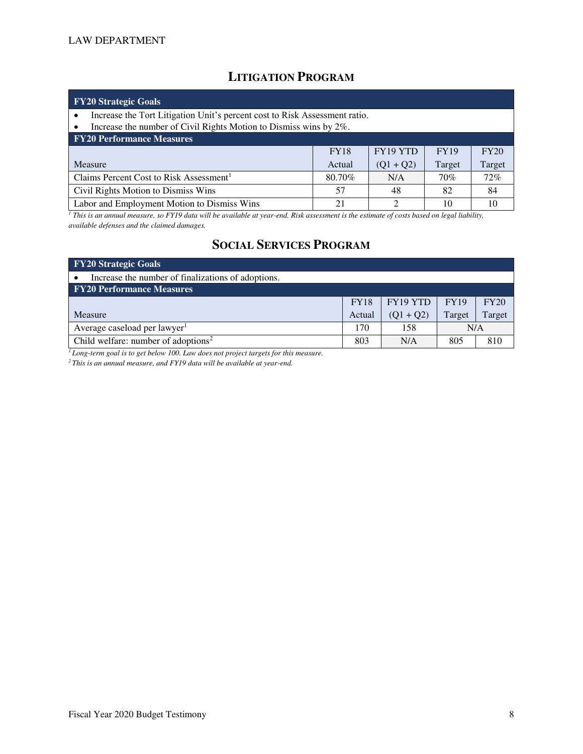# **LITIGATION PROGRAM**

| <b>FY20 Strategic Goals</b>                                                                                                                     |                     |             |             |        |  |  |  |  |  |
|-------------------------------------------------------------------------------------------------------------------------------------------------|---------------------|-------------|-------------|--------|--|--|--|--|--|
| Increase the Tort Litigation Unit's percent cost to Risk Assessment ratio.<br>Increase the number of Civil Rights Motion to Dismiss wins by 2%. |                     |             |             |        |  |  |  |  |  |
| <b>FY20 Performance Measures</b>                                                                                                                |                     |             |             |        |  |  |  |  |  |
|                                                                                                                                                 | <b>FY18</b>         | FY19 YTD    | <b>FY19</b> | FY20   |  |  |  |  |  |
| Measure                                                                                                                                         | Actual              | $(Q1 + Q2)$ | Target      | Target |  |  |  |  |  |
| Claims Percent Cost to Risk Assessment <sup>1</sup>                                                                                             | 80.70%              | N/A         | 70%         | $72\%$ |  |  |  |  |  |
| Civil Rights Motion to Dismiss Wins                                                                                                             | 57                  | 48          | 82          | 84     |  |  |  |  |  |
| Labor and Employment Motion to Dismiss Wins                                                                                                     | っ<br>10<br>21<br>10 |             |             |        |  |  |  |  |  |

*1 This is an annual measure, so FY19 data will be available at year-end. Risk assessment is the estimate of costs based on legal liability, available defenses and the claimed damages.* 

# **SOCIAL SERVICES PROGRAM**

| <b>FY20 Strategic Goals</b>                        |             |             |             |        |  |  |  |  |
|----------------------------------------------------|-------------|-------------|-------------|--------|--|--|--|--|
| Increase the number of finalizations of adoptions. |             |             |             |        |  |  |  |  |
| <b>FY20 Performance Measures</b>                   |             |             |             |        |  |  |  |  |
|                                                    | <b>FY18</b> | FY19 YTD    | <b>FY19</b> | FY20   |  |  |  |  |
| Measure                                            | Actual      | $(01 + 02)$ | Target      | Target |  |  |  |  |
| Average caseload per lawyer <sup>1</sup>           | 170         | 158         | N/A         |        |  |  |  |  |
| Child welfare: number of adoptions <sup>2</sup>    | 803         | N/A         | 805         | 810    |  |  |  |  |

*<sup>1</sup>Long-term goal is to get below 100. Law does not project targets for this measure.* 

*2 This is an annual measure, and FY19 data will be available at year-end.*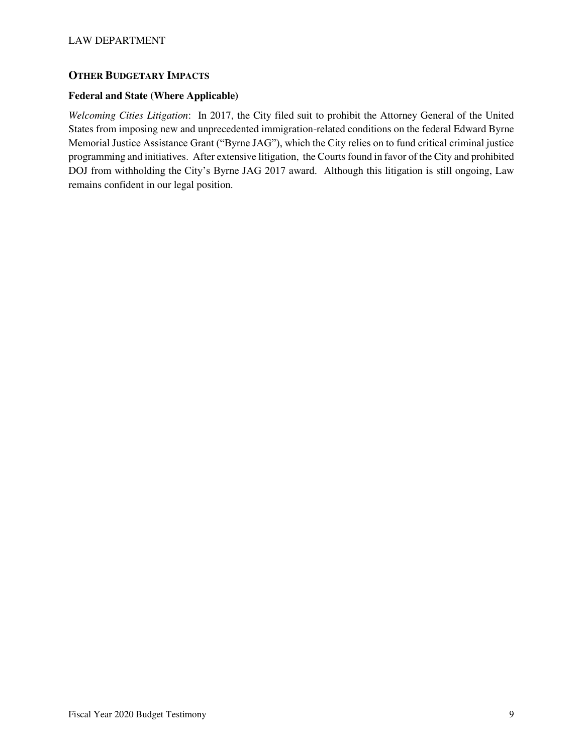## **OTHER BUDGETARY IMPACTS**

### **Federal and State (Where Applicable)**

*Welcoming Cities Litigation*: In 2017, the City filed suit to prohibit the Attorney General of the United States from imposing new and unprecedented immigration-related conditions on the federal Edward Byrne Memorial Justice Assistance Grant ("Byrne JAG"), which the City relies on to fund critical criminal justice programming and initiatives. After extensive litigation, the Courts found in favor of the City and prohibited DOJ from withholding the City's Byrne JAG 2017 award. Although this litigation is still ongoing, Law remains confident in our legal position.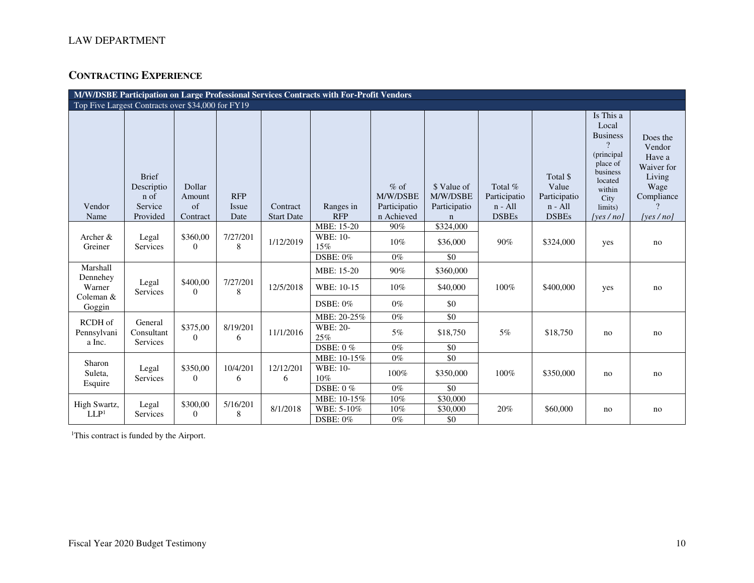## **CONTRACTING EXPERIENCE**

| M/W/DSBE Participation on Large Professional Services Contracts with For-Profit Vendors |                                                           |                                    |                             |                               |                                                   |                                                  |                                                        |                                                      |                                                                |                                                                                                                                             |                                                                                            |
|-----------------------------------------------------------------------------------------|-----------------------------------------------------------|------------------------------------|-----------------------------|-------------------------------|---------------------------------------------------|--------------------------------------------------|--------------------------------------------------------|------------------------------------------------------|----------------------------------------------------------------|---------------------------------------------------------------------------------------------------------------------------------------------|--------------------------------------------------------------------------------------------|
| Top Five Largest Contracts over \$34,000 for FY19                                       |                                                           |                                    |                             |                               |                                                   |                                                  |                                                        |                                                      |                                                                |                                                                                                                                             |                                                                                            |
| Vendor<br>Name                                                                          | <b>Brief</b><br>Descriptio<br>n of<br>Service<br>Provided | Dollar<br>Amount<br>of<br>Contract | <b>RFP</b><br>Issue<br>Date | Contract<br><b>Start Date</b> | Ranges in<br><b>RFP</b>                           | $%$ of<br>M/W/DSBE<br>Participatio<br>n Achieved | \$ Value of<br>M/W/DSBE<br>Participatio<br>$\mathbf n$ | Total %<br>Participatio<br>$n - All$<br><b>DSBEs</b> | Total \$<br>Value<br>Participatio<br>$n - All$<br><b>DSBEs</b> | Is This a<br>Local<br><b>Business</b><br>$\gamma$<br>(principal<br>place of<br>business<br>located<br>within<br>City<br>limits)<br>[yes/no] | Does the<br>Vendor<br>Have a<br>Waiver for<br>Living<br>Wage<br>Compliance<br>[yes $/$ no] |
| Archer &<br>Greiner                                                                     | Legal<br>Services                                         | \$360,00<br>$\overline{0}$         | 7/27/201<br>8               | 1/12/2019                     | MBE: 15-20<br>WBE: 10-<br>15%<br><b>DSBE: 0%</b>  | 90%<br>10%<br>$0\%$                              | \$324,000<br>\$36,000<br>\$0                           | 90%                                                  | \$324,000                                                      | yes                                                                                                                                         | no                                                                                         |
| Marshall<br>Dennehey<br>Warner<br>Coleman &<br>Goggin                                   | Legal<br>Services                                         | \$400,00<br>$\Omega$               | 7/27/201<br>8               | 12/5/2018                     | MBE: 15-20<br>WBE: 10-15<br><b>DSBE: 0%</b>       | 90%<br>10%<br>$0\%$                              | \$360,000<br>\$40,000<br>\$0                           | 100%                                                 | \$400,000                                                      | yes                                                                                                                                         | no                                                                                         |
| RCDH of<br>Pennsylvani<br>a Inc.                                                        | General<br>Consultant<br>Services                         | \$375,00<br>$\theta$               | 8/19/201<br>6               | 11/1/2016                     | MBE: 20-25%<br>WBE: 20-<br>25%<br><b>DSBE: 0%</b> | $0\%$<br>5%<br>$0\%$                             | \$0<br>\$18,750<br>\$0                                 | $5\%$                                                | \$18,750                                                       | no                                                                                                                                          | no                                                                                         |
| Sharon<br>Suleta,<br>Esquire                                                            | Legal<br>Services                                         | \$350,00<br>$\Omega$               | 10/4/201<br>6               | 12/12/201<br>6                | MBE: 10-15%<br>WBE: 10-<br>10%<br><b>DSBE: 0%</b> | $0\%$<br>100%<br>$0\%$                           | $\overline{50}$<br>\$350,000<br>$\$0$                  | 100%                                                 | \$350,000                                                      | no                                                                                                                                          | no                                                                                         |
| High Swartz,<br>LLP <sup>1</sup>                                                        | Legal<br>Services                                         | \$300,00<br>$\theta$               | 5/16/201<br>8               | 8/1/2018                      | MBE: 10-15%<br>WBE: 5-10%<br>$DSBE: 0\%$          | 10%<br>10%<br>$0\%$                              | \$30,000<br>\$30,000<br>\$0                            | 20%                                                  | \$60,000                                                       | no                                                                                                                                          | no                                                                                         |

<sup>1</sup>This contract is funded by the Airport.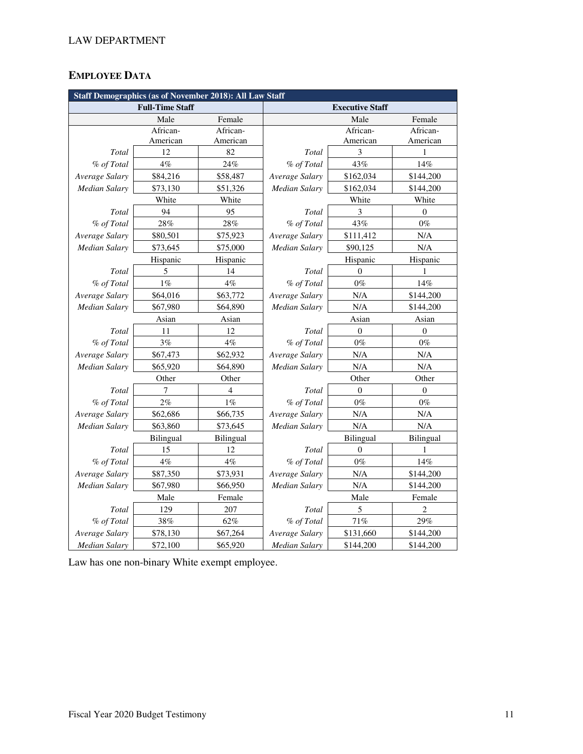# **EMPLOYEE DATA**

| <b>Staff Demographics (as of November 2018): All Law Staff</b> |                        |                  |                        |                  |                  |  |
|----------------------------------------------------------------|------------------------|------------------|------------------------|------------------|------------------|--|
|                                                                | <b>Full-Time Staff</b> |                  | <b>Executive Staff</b> |                  |                  |  |
|                                                                | Male                   | Female           |                        | Male             | Female           |  |
|                                                                | African-               | African-         |                        | African-         | African-         |  |
|                                                                | American               | American         |                        | American         | American         |  |
| Total                                                          | 12                     | 82               | Total                  | 3                | $\mathbf{1}$     |  |
| % of Total                                                     | $4\%$                  | 24%              | % of Total             | 43%              | 14%              |  |
| Average Salary                                                 | \$84,216               | \$58,487         | Average Salary         | \$162,034        | \$144,200        |  |
| <b>Median Salary</b>                                           | \$73,130               | \$51,326         | Median Salary          | \$162,034        | \$144,200        |  |
|                                                                | White                  | White            |                        | White            | White            |  |
| Total                                                          | 94                     | 95               | Total                  | 3                | 0                |  |
| % of Total                                                     | 28%                    | 28%              | % of Total             | 43%              | $0\%$            |  |
| Average Salary                                                 | \$80,501               | \$75,923         | Average Salary         | \$111,412        | N/A              |  |
| <b>Median Salary</b>                                           | \$73,645               | \$75,000         | Median Salary          | \$90,125         | N/A              |  |
|                                                                | Hispanic               | Hispanic         |                        | Hispanic         | Hispanic         |  |
| Total                                                          | 5                      | 14               | Total                  | $\Omega$         | 1                |  |
| % of Total                                                     | $1\%$                  | $4\%$            | % of Total             | $0\%$            | 14%              |  |
| Average Salary                                                 | \$64,016               | \$63,772         | Average Salary         | N/A              | \$144,200        |  |
| <b>Median Salary</b>                                           | \$67,980               | \$64,890         | <b>Median Salary</b>   | N/A              | \$144,200        |  |
|                                                                | Asian                  | Asian            | Asian                  |                  | Asian            |  |
| Total                                                          | 11                     | 12               | Total                  | $\mathbf{0}$     | $\overline{0}$   |  |
| % of Total                                                     | 3%                     | $4\%$            | % of Total             | $0\%$            | $0\%$            |  |
| Average Salary                                                 | \$67,473               | \$62,932         | Average Salary         | N/A              | $\rm N/A$        |  |
| Median Salary                                                  | \$65,920               | \$64,890         | Median Salary          | N/A              | N/A              |  |
|                                                                | Other                  | Other            |                        | Other            | Other            |  |
| Total                                                          | 7                      | $\overline{4}$   | Total                  | $\Omega$         | $\mathbf{0}$     |  |
| % of Total                                                     | 2%                     | $1\%$            | % of Total             | $0\%$            | $0\%$            |  |
| Average Salary                                                 | \$62,686               | \$66,735         | Average Salary         | N/A              | N/A              |  |
| Median Salary                                                  | \$63,860               | \$73,645         | Median Salary          | N/A              | N/A              |  |
|                                                                | <b>Bilingual</b>       | <b>Bilingual</b> |                        | <b>Bilingual</b> | <b>Bilingual</b> |  |
| Total                                                          | 15                     | 12               | Total                  | $\boldsymbol{0}$ | $\mathbf{1}$     |  |
| % of Total                                                     | $4\%$                  | $4\%$            | % of Total             | $0\%$            | 14%              |  |
| Average Salary                                                 | \$87,350               | \$73,931         | Average Salary         | N/A              | \$144,200        |  |
| Median Salary                                                  | \$67,980               | \$66,950         | Median Salary          | N/A              | \$144,200        |  |
|                                                                | Male                   | Female           |                        | Male             | Female           |  |
| Total                                                          | 129                    | 207              | Total                  | 5                | $\overline{c}$   |  |
| % of Total                                                     | 38%                    | 62%              | % of Total             | 71%              | 29%              |  |
| Average Salary                                                 | \$78,130               | \$67,264         | Average Salary         | \$131,660        | \$144,200        |  |
| Median Salary                                                  | \$72,100               | \$65,920         | Median Salary          | \$144,200        | \$144,200        |  |

Law has one non-binary White exempt employee.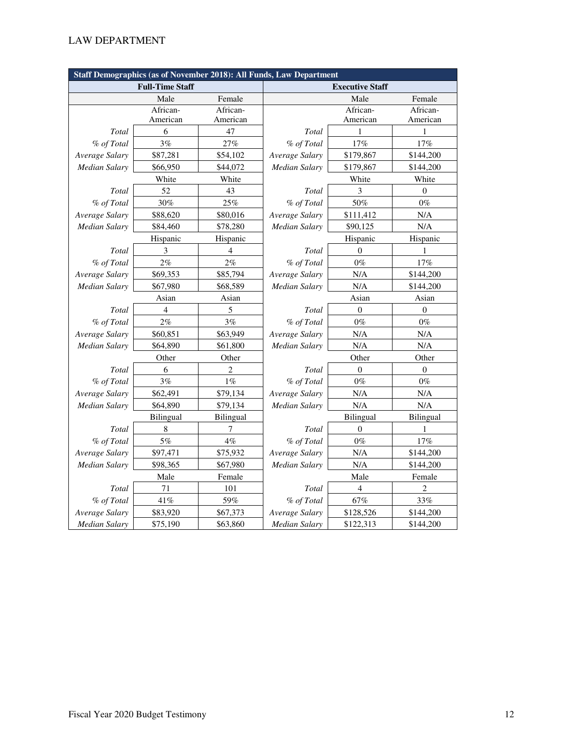| Staff Demographics (as of November 2018): All Funds, Law Department |           |                |                      |                  |                  |  |  |
|---------------------------------------------------------------------|-----------|----------------|----------------------|------------------|------------------|--|--|
| <b>Executive Staff</b><br><b>Full-Time Staff</b>                    |           |                |                      |                  |                  |  |  |
|                                                                     | Male      | Female         |                      | Male             | Female           |  |  |
|                                                                     | African-  | African-       |                      | African-         | African-         |  |  |
|                                                                     | American  | American       |                      | American         | American         |  |  |
| Total                                                               | 6         | 47             | Total                | 1                | 1                |  |  |
| % of Total                                                          | 3%        | 27%            | % of Total           | 17%              | 17%              |  |  |
| Average Salary                                                      | \$87,281  | \$54,102       | Average Salary       | \$179,867        | \$144,200        |  |  |
| Median Salary                                                       | \$66,950  | \$44,072       | <b>Median Salary</b> | \$179,867        | \$144,200        |  |  |
|                                                                     | White     | White          |                      | White            | White            |  |  |
| Total                                                               | 52        | 43             | Total                | 3                | $\overline{0}$   |  |  |
| % of Total                                                          | 30%       | 25%            | % of Total           | 50%              | $0\%$            |  |  |
| Average Salary                                                      | \$88,620  | \$80,016       | Average Salary       | \$111,412        | N/A              |  |  |
| <b>Median Salary</b>                                                | \$84,460  | \$78,280       | Median Salary        | \$90,125         | N/A              |  |  |
|                                                                     | Hispanic  | Hispanic       |                      | Hispanic         | Hispanic         |  |  |
| Total                                                               | 3         | $\overline{4}$ | Total                | $\mathbf{0}$     | 1                |  |  |
| % of Total                                                          | 2%        | 2%             | % of Total           | $0\%$            | 17%              |  |  |
| Average Salary                                                      | \$69,353  | \$85,794       | Average Salary       | N/A              | \$144,200        |  |  |
| <b>Median Salary</b>                                                | \$67,980  | \$68,589       | Median Salary        | N/A              | \$144,200        |  |  |
|                                                                     | Asian     | Asian          | Asian                |                  | Asian            |  |  |
| Total                                                               | 4         | $\sqrt{5}$     | Total                | $\boldsymbol{0}$ | $\boldsymbol{0}$ |  |  |
| % of Total                                                          | 2%        | 3%             | % of Total           | $0\%$            | $0\%$            |  |  |
| Average Salary                                                      | \$60,851  | \$63,949       | Average Salary       | N/A              | N/A              |  |  |
| Median Salary                                                       | \$64,890  | \$61,800       | Median Salary        | N/A              | N/A              |  |  |
|                                                                     | Other     | Other          |                      | Other            | Other            |  |  |
| Total                                                               | 6         | $\overline{2}$ | Total                | $\mathbf{0}$     | $\mathbf{0}$     |  |  |
| % of Total                                                          | 3%        | $1\%$          | % of Total           | $0\%$            | $0\%$            |  |  |
| Average Salary                                                      | \$62,491  | \$79,134       | Average Salary       | N/A              | N/A              |  |  |
| <b>Median Salary</b>                                                | \$64,890  | \$79,134       | Median Salary        | N/A              | N/A              |  |  |
|                                                                     | Bilingual | Bilingual      |                      | <b>Bilingual</b> | Bilingual        |  |  |
| Total                                                               | 8         | 7              | Total                | $\mathbf{0}$     | 1                |  |  |
| % of Total                                                          | 5%        | 4%             | % of Total           | $0\%$            | 17%              |  |  |
| Average Salary                                                      | \$97,471  | \$75,932       | Average Salary       | N/A              | \$144,200        |  |  |
| <b>Median Salary</b>                                                | \$98,365  | \$67,980       | Median Salary<br>N/A |                  | \$144,200        |  |  |
|                                                                     | Male      | Female         |                      | Male             | Female           |  |  |
| Total                                                               | 71        | 101            | Total                | $\overline{4}$   | $\overline{c}$   |  |  |
| % of Total                                                          | 41%       | 59%            | % of Total           | 67%              | 33%              |  |  |
| Average Salary                                                      | \$83,920  | \$67,373       | Average Salary       | \$128,526        | \$144,200        |  |  |
| <b>Median Salary</b>                                                | \$75,190  | \$63,860       | <b>Median Salary</b> | \$122,313        | \$144,200        |  |  |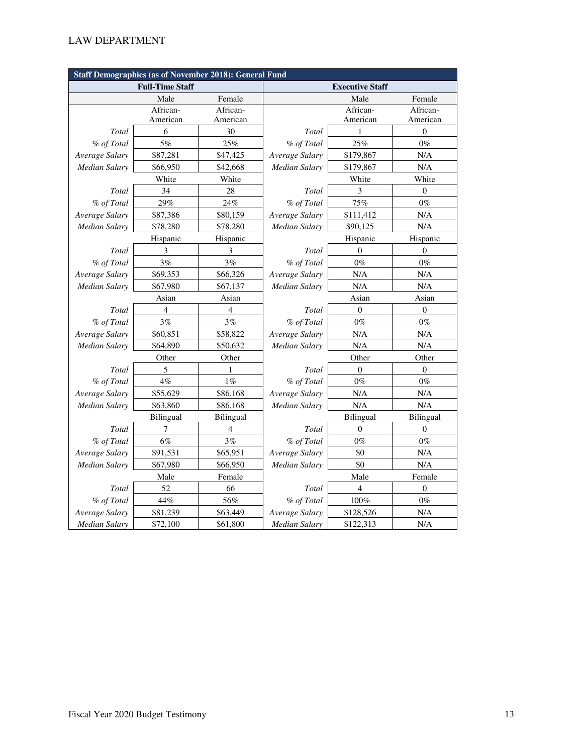| <b>Staff Demographics (as of November 2018): General Fund</b> |                        |                  |                        |                  |                  |  |  |
|---------------------------------------------------------------|------------------------|------------------|------------------------|------------------|------------------|--|--|
|                                                               | <b>Full-Time Staff</b> |                  | <b>Executive Staff</b> |                  |                  |  |  |
|                                                               | Male                   | Female           |                        | Male             | Female           |  |  |
|                                                               | African-               | African-         |                        | African-         | African-         |  |  |
|                                                               | American               | American         |                        | American         | American         |  |  |
| Total                                                         | 6                      | 30               | Total                  | 1                | $\boldsymbol{0}$ |  |  |
| % of Total                                                    | 5%                     | 25%              | % of Total             | 25%              | $0\%$            |  |  |
| Average Salary                                                | \$87,281               | \$47,425         | Average Salary         | \$179,867        | N/A              |  |  |
| <b>Median Salary</b>                                          | \$66,950               | \$42,668         | Median Salary          | \$179,867        | N/A              |  |  |
|                                                               | White                  | White            |                        | White            | White            |  |  |
| Total                                                         | 34                     | 28               | Total                  | 3                | $\boldsymbol{0}$ |  |  |
| % of Total                                                    | 29%                    | 24%              | % of Total             | 75%              | $0\%$            |  |  |
| Average Salary                                                | \$87,386               | \$80,159         | Average Salary         | \$111,412        | N/A              |  |  |
| Median Salary                                                 | \$78,280               | \$78,280         | Median Salary          | \$90,125         | N/A              |  |  |
|                                                               | Hispanic               | Hispanic         |                        | Hispanic         | Hispanic         |  |  |
| Total                                                         | 3                      | 3                | Total                  | $\Omega$         | $\Omega$         |  |  |
| % of Total                                                    | $3\%$                  | 3%               | % of Total             | $0\%$            | $0\%$            |  |  |
| Average Salary                                                | \$69,353               | \$66,326         | Average Salary         | N/A              | N/A              |  |  |
| <b>Median Salary</b>                                          | \$67,980               | \$67,137         | Median Salary          | N/A              | N/A              |  |  |
|                                                               | Asian                  | Asian            | Asian                  |                  | Asian            |  |  |
| Total                                                         | $\overline{4}$         | 4                | Total                  | $\boldsymbol{0}$ | $\boldsymbol{0}$ |  |  |
| % of Total                                                    | 3%                     | 3%               | % of Total             | $0\%$            | $0\%$            |  |  |
| Average Salary                                                | \$60,851               | \$58,822         | Average Salary         | N/A              | N/A              |  |  |
| <b>Median Salary</b>                                          | \$64,890               | \$50,632         | <b>Median Salary</b>   | N/A              | N/A              |  |  |
|                                                               | Other                  | Other            |                        | Other            | Other            |  |  |
| Total                                                         | 5                      | 1                | Total                  | $\mathbf{0}$     | $\mathbf{0}$     |  |  |
| % of Total                                                    | $4\%$                  | $1\%$            | % of Total             | $0\%$            | $0\%$            |  |  |
| Average Salary                                                | \$55,629               | \$86,168         | Average Salary         | N/A              | N/A              |  |  |
| Median Salary                                                 | \$63,860               | \$86,168         | Median Salary          | N/A              | N/A              |  |  |
|                                                               | Bilingual              | <b>Bilingual</b> |                        | <b>Bilingual</b> | <b>Bilingual</b> |  |  |
| Total                                                         | 7                      | 4                | <b>Total</b>           | $\theta$         | $\overline{0}$   |  |  |
| % of Total                                                    | 6%                     | 3%               | % of Total             | $0\%$            | $0\%$            |  |  |
| Average Salary                                                | \$91,531               | \$65,951         | Average Salary         | \$0              | N/A              |  |  |
| <b>Median Salary</b>                                          | \$67,980               | \$66,950         | Median Salary          | \$0              | N/A              |  |  |
|                                                               | Male                   | Female           |                        | Male             | Female           |  |  |
| Total                                                         | 52                     | 66               | Total                  | 4                | $\overline{0}$   |  |  |
| % of Total                                                    | 44%                    | 56%              | % of Total             | $100\%$          | $0\%$            |  |  |
| Average Salary                                                | \$81,239               | \$63,449         | Average Salary         | \$128,526        | N/A              |  |  |
| <b>Median Salary</b>                                          | \$72,100               | \$61,800         | Median Salary          | \$122,313        | N/A              |  |  |